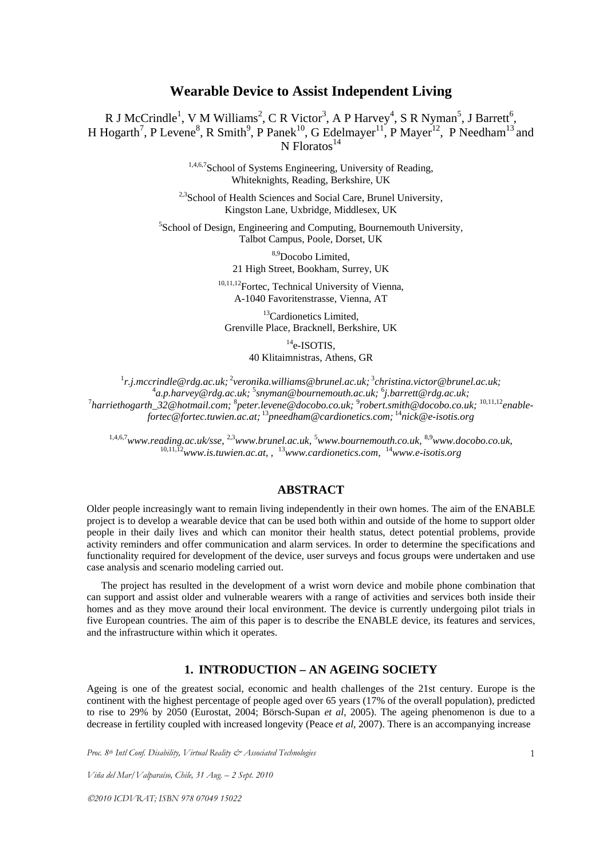# **Wearable Device to Assist Independent Living**

R J McCrindle<sup>1</sup>, V M Williams<sup>2</sup>, C R Victor<sup>3</sup>, A P Harvey<sup>4</sup>, S R Nyman<sup>5</sup>, J Barrett<sup>6</sup>, H Hogarth<sup>7</sup>, P Levene<sup>8</sup>, R Smith<sup>9</sup>, P Panek<sup>10</sup>, G Edelmayer<sup>11</sup>, P Mayer<sup>12</sup>, P Needham<sup>13</sup> and  $N$  Floratos<sup>14</sup>

> 1,4,6,7 School of Systems Engineering, University of Reading, Whiteknights, Reading, Berkshire, UK

<sup>2,3</sup>School of Health Sciences and Social Care, Brunel University, Kingston Lane, Uxbridge, Middlesex, UK

5 School of Design, Engineering and Computing, Bournemouth University, Talbot Campus, Poole, Dorset, UK

> 8,9Docobo Limited, 21 High Street, Bookham, Surrey, UK

10,11,12Fortec, Technical University of Vienna, A-1040 Favoritenstrasse, Vienna, AT

<sup>13</sup>Cardionetics Limited, Grenville Place, Bracknell, Berkshire, UK

> $14$ e-ISOTIS. 40 Klitaimnistras, Athens, GR

<sup>1</sup>r.j.mccrindle@rdg.ac.uk;<sup>2</sup>veronika.williams@brunel.ac.uk;<sup>3</sup>christina.victor@brunel.ac.uk;<br><sup>4</sup>3 p.hawww@rds\_as.uk:<sup>3</sup>covman@bournamouth\_as.uk:<sup>6</sup>i.hawwt@rds\_as.uk: *a.p.harvey@rdg.ac.uk;* <sup>5</sup> *snyman@bournemouth.ac.uk;* <sup>6</sup> <sup>1</sup>a.p.harvey@rdg.ac.uk; <sup>></sup>snyman@bournemouth.ac.uk; <sup>6</sup>j.barrett@rdg.ac.uk;<br>- <sup>7</sup>harriethogarth\_32@hotmail.com; <sup>8</sup>peter.levene@docobo.co.uk; <sup>9</sup>robert.smith@docobo.co.uk; <sup>10,11,12</sup>enable<sup>?</sup> *fortec@fortec.tuwien.ac.at;*<sup>13</sup>*pneedham@cardionetics.com;*<sup>14</sup>*nick@e-isotis.org* 

1,4,6,7*www.reading.ac.uk/sse,* 2,3*www.brunel.ac.uk,* <sup>5</sup> *www.bournemouth.co.uk,* 8,9*www.docobo.co.uk,*  10,11,12*www.is.tuwien.ac.at, ,* <sup>13</sup>*www.cardionetics.com,* <sup>14</sup>*www.e-isotis.org* 

## **ABSTRACT**

Older people increasingly want to remain living independently in their own homes. The aim of the ENABLE project is to develop a wearable device that can be used both within and outside of the home to support older people in their daily lives and which can monitor their health status, detect potential problems, provide activity reminders and offer communication and alarm services. In order to determine the specifications and functionality required for development of the device, user surveys and focus groups were undertaken and use case analysis and scenario modeling carried out.

The project has resulted in the development of a wrist worn device and mobile phone combination that can support and assist older and vulnerable wearers with a range of activities and services both inside their homes and as they move around their local environment. The device is currently undergoing pilot trials in five European countries. The aim of this paper is to describe the ENABLE device, its features and services, and the infrastructure within which it operates.

## **1. INTRODUCTION – AN AGEING SOCIETY**

Ageing is one of the greatest social, economic and health challenges of the 21st century. Europe is the continent with the highest percentage of people aged over 65 years (17% of the overall population), predicted to rise to 29% by 2050 (Eurostat, 2004; Börsch-Supan *et al*, 2005). The ageing phenomenon is due to a decrease in fertility coupled with increased longevity (Peace *et al*, 2007). There is an accompanying increase

*Proc. 8th Intl Conf. Disability, Virtual Reality & Associated Technologies* 

*Viña del Mar/Valparaíso, Chile, 31 Aug. – 2 Sept. 2010*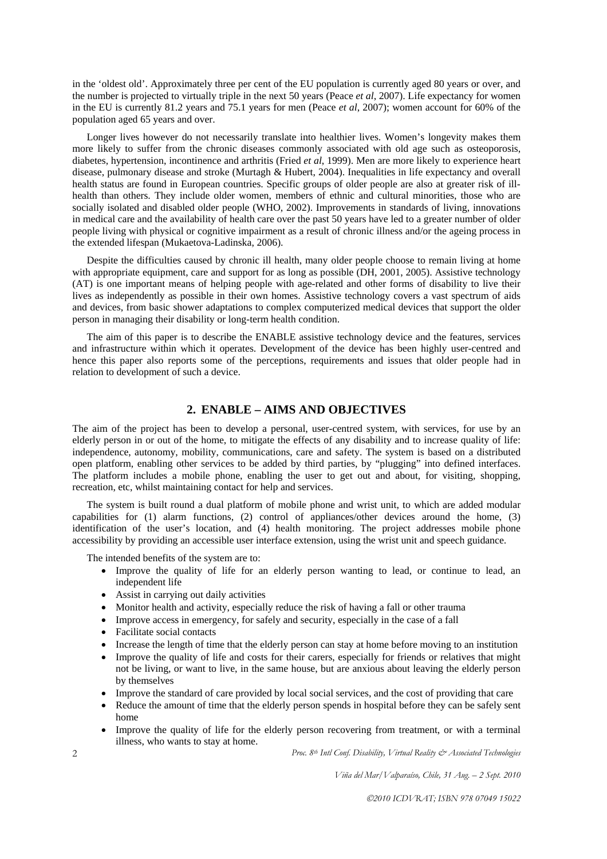in the 'oldest old'. Approximately three per cent of the EU population is currently aged 80 years or over, and the number is projected to virtually triple in the next 50 years (Peace *et al*, 2007). Life expectancy for women in the EU is currently 81.2 years and 75.1 years for men (Peace *et al*, 2007); women account for 60% of the population aged 65 years and over.

Longer lives however do not necessarily translate into healthier lives. Women's longevity makes them more likely to suffer from the chronic diseases commonly associated with old age such as osteoporosis, diabetes, hypertension, incontinence and arthritis (Fried *et al*, 1999). Men are more likely to experience heart disease, pulmonary disease and stroke (Murtagh & Hubert, 2004). Inequalities in life expectancy and overall health status are found in European countries. Specific groups of older people are also at greater risk of illhealth than others. They include older women, members of ethnic and cultural minorities, those who are socially isolated and disabled older people (WHO, 2002). Improvements in standards of living, innovations in medical care and the availability of health care over the past 50 years have led to a greater number of older people living with physical or cognitive impairment as a result of chronic illness and/or the ageing process in the extended lifespan (Mukaetova-Ladinska, 2006).

Despite the difficulties caused by chronic ill health, many older people choose to remain living at home with appropriate equipment, care and support for as long as possible (DH, 2001, 2005). Assistive technology (AT) is one important means of helping people with age-related and other forms of disability to live their lives as independently as possible in their own homes. Assistive technology covers a vast spectrum of aids and devices, from basic shower adaptations to complex computerized medical devices that support the older person in managing their disability or long-term health condition.

The aim of this paper is to describe the ENABLE assistive technology device and the features, services and infrastructure within which it operates. Development of the device has been highly user-centred and hence this paper also reports some of the perceptions, requirements and issues that older people had in relation to development of such a device.

## **2. ENABLE – AIMS AND OBJECTIVES**

The aim of the project has been to develop a personal, user-centred system, with services, for use by an elderly person in or out of the home, to mitigate the effects of any disability and to increase quality of life: independence, autonomy, mobility, communications, care and safety. The system is based on a distributed open platform, enabling other services to be added by third parties, by "plugging" into defined interfaces. The platform includes a mobile phone, enabling the user to get out and about, for visiting, shopping, recreation, etc, whilst maintaining contact for help and services.

The system is built round a dual platform of mobile phone and wrist unit, to which are added modular capabilities for (1) alarm functions, (2) control of appliances/other devices around the home, (3) identification of the user's location, and (4) health monitoring. The project addresses mobile phone accessibility by providing an accessible user interface extension, using the wrist unit and speech guidance.

The intended benefits of the system are to:

- Improve the quality of life for an elderly person wanting to lead, or continue to lead, an independent life
- Assist in carrying out daily activities
- Monitor health and activity, especially reduce the risk of having a fall or other trauma
- Improve access in emergency, for safely and security, especially in the case of a fall
- Facilitate social contacts
- Increase the length of time that the elderly person can stay at home before moving to an institution
- Improve the quality of life and costs for their carers, especially for friends or relatives that might not be living, or want to live, in the same house, but are anxious about leaving the elderly person by themselves
- Improve the standard of care provided by local social services, and the cost of providing that care
- Reduce the amount of time that the elderly person spends in hospital before they can be safely sent home
- Improve the quality of life for the elderly person recovering from treatment, or with a terminal illness, who wants to stay at home.

*Proc. 8th Intl Conf. Disability, Virtual Reality & Associated Technologies* 

*Viña del Mar/Valparaíso, Chile, 31 Aug. – 2 Sept. 2010* 

 $\overline{2}$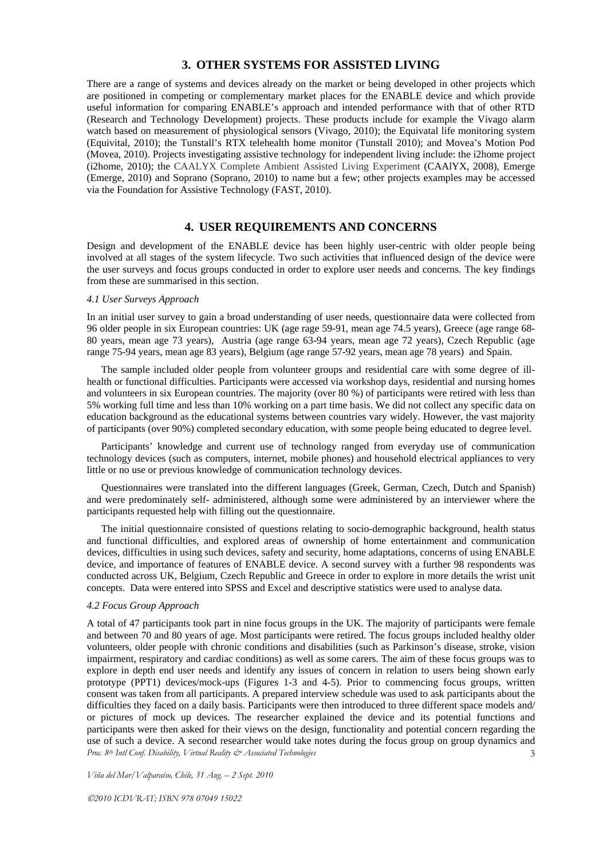### **3. OTHER SYSTEMS FOR ASSISTED LIVING**

There are a range of systems and devices already on the market or being developed in other projects which are positioned in competing or complementary market places for the ENABLE device and which provide useful information for comparing ENABLE's approach and intended performance with that of other RTD (Research and Technology Development) projects. These products include for example the Vivago alarm watch based on measurement of physiological sensors (Vivago, 2010); the Equivatal life monitoring system (Equivital, 2010); the Tunstall's RTX telehealth home monitor (Tunstall 2010); and Movea's Motion Pod (Movea, 2010). Projects investigating assistive technology for independent living include: the i2home project (i2home, 2010); the CAALYX Complete Ambient Assisted Living Experiment (CAAlYX, 2008), Emerge (Emerge, 2010) and Soprano (Soprano, 2010) to name but a few; other projects examples may be accessed via the Foundation for Assistive Technology (FAST, 2010).

## **4. USER REQUIREMENTS AND CONCERNS**

Design and development of the ENABLE device has been highly user-centric with older people being involved at all stages of the system lifecycle. Two such activities that influenced design of the device were the user surveys and focus groups conducted in order to explore user needs and concerns. The key findings from these are summarised in this section.

### *4.1 User Surveys Approach*

In an initial user survey to gain a broad understanding of user needs, questionnaire data were collected from 96 older people in six European countries: UK (age rage 59-91, mean age 74.5 years), Greece (age range 68- 80 years, mean age 73 years), Austria (age range 63-94 years, mean age 72 years), Czech Republic (age range 75-94 years, mean age 83 years), Belgium (age range 57-92 years, mean age 78 years) and Spain.

The sample included older people from volunteer groups and residential care with some degree of illhealth or functional difficulties. Participants were accessed via workshop days, residential and nursing homes and volunteers in six European countries. The majority (over 80 %) of participants were retired with less than 5% working full time and less than 10% working on a part time basis. We did not collect any specific data on education background as the educational systems between countries vary widely. However, the vast majority of participants (over 90%) completed secondary education, with some people being educated to degree level.

Participants' knowledge and current use of technology ranged from everyday use of communication technology devices (such as computers, internet, mobile phones) and household electrical appliances to very little or no use or previous knowledge of communication technology devices.

Questionnaires were translated into the different languages (Greek, German, Czech, Dutch and Spanish) and were predominately self- administered, although some were administered by an interviewer where the participants requested help with filling out the questionnaire.

The initial questionnaire consisted of questions relating to socio-demographic background, health status and functional difficulties, and explored areas of ownership of home entertainment and communication devices, difficulties in using such devices, safety and security, home adaptations, concerns of using ENABLE device, and importance of features of ENABLE device. A second survey with a further 98 respondents was conducted across UK, Belgium, Czech Republic and Greece in order to explore in more details the wrist unit concepts. Data were entered into SPSS and Excel and descriptive statistics were used to analyse data.

#### *4.2 Focus Group Approach*

*Proc. 8th Intl Conf. Disability, Virtual Reality & Associated Technologies*  3 A total of 47 participants took part in nine focus groups in the UK. The majority of participants were female and between 70 and 80 years of age. Most participants were retired. The focus groups included healthy older volunteers, older people with chronic conditions and disabilities (such as Parkinson's disease, stroke, vision impairment, respiratory and cardiac conditions) as well as some carers. The aim of these focus groups was to explore in depth end user needs and identify any issues of concern in relation to users being shown early prototype (PPT1) devices/mock-ups (Figures 1-3 and 4-5). Prior to commencing focus groups, written consent was taken from all participants. A prepared interview schedule was used to ask participants about the difficulties they faced on a daily basis. Participants were then introduced to three different space models and/ or pictures of mock up devices. The researcher explained the device and its potential functions and participants were then asked for their views on the design, functionality and potential concern regarding the use of such a device. A second researcher would take notes during the focus group on group dynamics and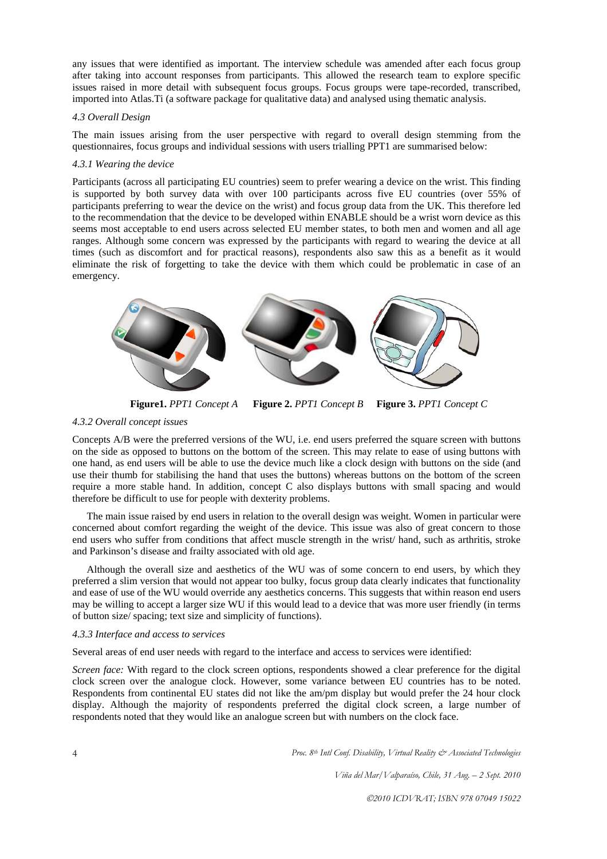any issues that were identified as important. The interview schedule was amended after each focus group after taking into account responses from participants. This allowed the research team to explore specific issues raised in more detail with subsequent focus groups. Focus groups were tape-recorded, transcribed, imported into Atlas.Ti (a software package for qualitative data) and analysed using thematic analysis.

### *4.3 Overall Design*

The main issues arising from the user perspective with regard to overall design stemming from the questionnaires, focus groups and individual sessions with users trialling PPT1 are summarised below:

## *4.3.1 Wearing the device*

Participants (across all participating EU countries) seem to prefer wearing a device on the wrist. This finding is supported by both survey data with over 100 participants across five EU countries (over 55% of participants preferring to wear the device on the wrist) and focus group data from the UK. This therefore led to the recommendation that the device to be developed within ENABLE should be a wrist worn device as this seems most acceptable to end users across selected EU member states, to both men and women and all age ranges. Although some concern was expressed by the participants with regard to wearing the device at all times (such as discomfort and for practical reasons), respondents also saw this as a benefit as it would eliminate the risk of forgetting to take the device with them which could be problematic in case of an emergency.



 **Figure1.** *PPT1 Concept A* **Figure 2.** *PPT1 Concept B* **Figure 3.** *PPT1 Concept C*

### *4.3.2 Overall concept issues*

Concepts A/B were the preferred versions of the WU, i.e. end users preferred the square screen with buttons on the side as opposed to buttons on the bottom of the screen. This may relate to ease of using buttons with one hand, as end users will be able to use the device much like a clock design with buttons on the side (and use their thumb for stabilising the hand that uses the buttons) whereas buttons on the bottom of the screen require a more stable hand. In addition, concept C also displays buttons with small spacing and would therefore be difficult to use for people with dexterity problems.

The main issue raised by end users in relation to the overall design was weight. Women in particular were concerned about comfort regarding the weight of the device. This issue was also of great concern to those end users who suffer from conditions that affect muscle strength in the wrist/ hand, such as arthritis, stroke and Parkinson's disease and frailty associated with old age.

Although the overall size and aesthetics of the WU was of some concern to end users, by which they preferred a slim version that would not appear too bulky, focus group data clearly indicates that functionality and ease of use of the WU would override any aesthetics concerns. This suggests that within reason end users may be willing to accept a larger size WU if this would lead to a device that was more user friendly (in terms of button size/ spacing; text size and simplicity of functions).

#### *4.3.3 Interface and access to services*

Several areas of end user needs with regard to the interface and access to services were identified:

*Screen face:* With regard to the clock screen options, respondents showed a clear preference for the digital clock screen over the analogue clock. However, some variance between EU countries has to be noted. Respondents from continental EU states did not like the am/pm display but would prefer the 24 hour clock display. Although the majority of respondents preferred the digital clock screen, a large number of respondents noted that they would like an analogue screen but with numbers on the clock face.

*Proc. 8th Intl Conf. Disability, Virtual Reality & Associated Technologies* 

*Viña del Mar/Valparaíso, Chile, 31 Aug. – 2 Sept. 2010*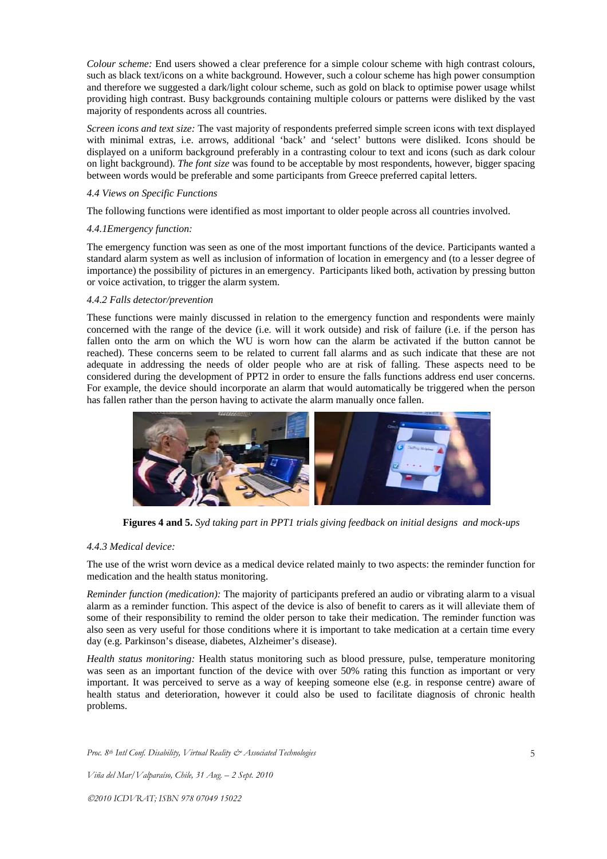*Colour scheme:* End users showed a clear preference for a simple colour scheme with high contrast colours, such as black text/icons on a white background. However, such a colour scheme has high power consumption and therefore we suggested a dark/light colour scheme, such as gold on black to optimise power usage whilst providing high contrast. Busy backgrounds containing multiple colours or patterns were disliked by the vast majority of respondents across all countries.

*Screen icons and text size:* The vast majority of respondents preferred simple screen icons with text displayed with minimal extras, i.e. arrows, additional 'back' and 'select' buttons were disliked. Icons should be displayed on a uniform background preferably in a contrasting colour to text and icons (such as dark colour on light background). *The font size* was found to be acceptable by most respondents, however, bigger spacing between words would be preferable and some participants from Greece preferred capital letters.

### *4.4 Views on Specific Functions*

The following functions were identified as most important to older people across all countries involved.

### *4.4.1Emergency function:*

The emergency function was seen as one of the most important functions of the device. Participants wanted a standard alarm system as well as inclusion of information of location in emergency and (to a lesser degree of importance) the possibility of pictures in an emergency. Participants liked both, activation by pressing button or voice activation, to trigger the alarm system.

### *4.4.2 Falls detector/prevention*

These functions were mainly discussed in relation to the emergency function and respondents were mainly concerned with the range of the device (i.e. will it work outside) and risk of failure (i.e. if the person has fallen onto the arm on which the WU is worn how can the alarm be activated if the button cannot be reached). These concerns seem to be related to current fall alarms and as such indicate that these are not adequate in addressing the needs of older people who are at risk of falling. These aspects need to be considered during the development of PPT2 in order to ensure the falls functions address end user concerns. For example, the device should incorporate an alarm that would automatically be triggered when the person has fallen rather than the person having to activate the alarm manually once fallen.



 **Figures 4 and 5.** *Syd taking part in PPT1 trials giving feedback on initial designs and mock-ups* 

## *4.4.3 Medical device:*

The use of the wrist worn device as a medical device related mainly to two aspects: the reminder function for medication and the health status monitoring.

*Reminder function (medication):* The majority of participants prefered an audio or vibrating alarm to a visual alarm as a reminder function. This aspect of the device is also of benefit to carers as it will alleviate them of some of their responsibility to remind the older person to take their medication. The reminder function was also seen as very useful for those conditions where it is important to take medication at a certain time every day (e.g. Parkinson's disease, diabetes, Alzheimer's disease).

*Health status monitoring:* Health status monitoring such as blood pressure, pulse, temperature monitoring was seen as an important function of the device with over 50% rating this function as important or very important. It was perceived to serve as a way of keeping someone else (e.g. in response centre) aware of health status and deterioration, however it could also be used to facilitate diagnosis of chronic health problems.

*Proc. 8th Intl Conf. Disability, Virtual Reality & Associated Technologies*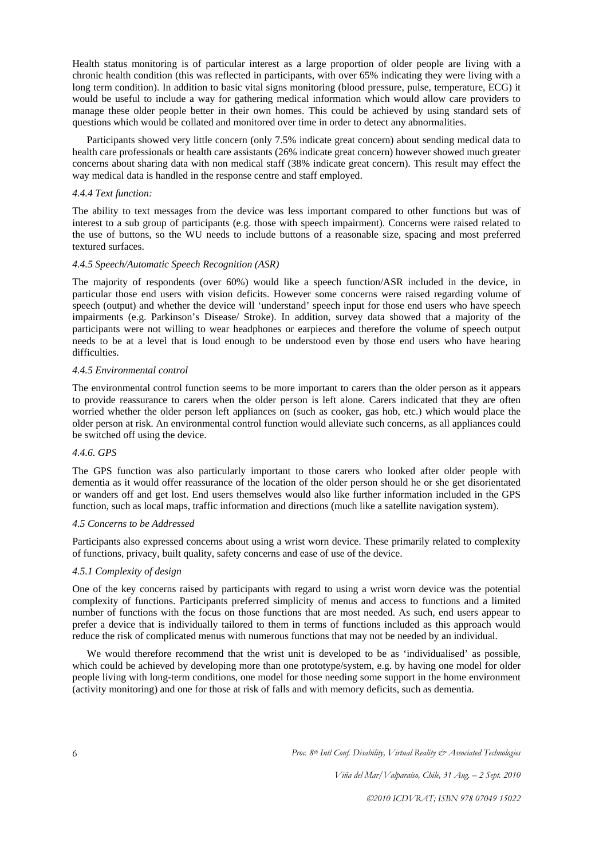Health status monitoring is of particular interest as a large proportion of older people are living with a chronic health condition (this was reflected in participants, with over 65% indicating they were living with a long term condition). In addition to basic vital signs monitoring (blood pressure, pulse, temperature, ECG) it would be useful to include a way for gathering medical information which would allow care providers to manage these older people better in their own homes. This could be achieved by using standard sets of questions which would be collated and monitored over time in order to detect any abnormalities.

Participants showed very little concern (only 7.5% indicate great concern) about sending medical data to health care professionals or health care assistants (26% indicate great concern) however showed much greater concerns about sharing data with non medical staff (38% indicate great concern). This result may effect the way medical data is handled in the response centre and staff employed.

#### *4.4.4 Text function:*

The ability to text messages from the device was less important compared to other functions but was of interest to a sub group of participants (e.g. those with speech impairment). Concerns were raised related to the use of buttons, so the WU needs to include buttons of a reasonable size, spacing and most preferred textured surfaces.

### *4.4.5 Speech/Automatic Speech Recognition (ASR)*

The majority of respondents (over 60%) would like a speech function/ASR included in the device, in particular those end users with vision deficits. However some concerns were raised regarding volume of speech (output) and whether the device will 'understand' speech input for those end users who have speech impairments (e.g. Parkinson's Disease/ Stroke). In addition, survey data showed that a majority of the participants were not willing to wear headphones or earpieces and therefore the volume of speech output needs to be at a level that is loud enough to be understood even by those end users who have hearing difficulties.

### *4.4.5 Environmental control*

The environmental control function seems to be more important to carers than the older person as it appears to provide reassurance to carers when the older person is left alone. Carers indicated that they are often worried whether the older person left appliances on (such as cooker, gas hob, etc.) which would place the older person at risk. An environmental control function would alleviate such concerns, as all appliances could be switched off using the device.

## *4.4.6. GPS*

The GPS function was also particularly important to those carers who looked after older people with dementia as it would offer reassurance of the location of the older person should he or she get disorientated or wanders off and get lost. End users themselves would also like further information included in the GPS function, such as local maps, traffic information and directions (much like a satellite navigation system).

## *4.5 Concerns to be Addressed*

Participants also expressed concerns about using a wrist worn device. These primarily related to complexity of functions, privacy, built quality, safety concerns and ease of use of the device.

#### *4.5.1 Complexity of design*

One of the key concerns raised by participants with regard to using a wrist worn device was the potential complexity of functions. Participants preferred simplicity of menus and access to functions and a limited number of functions with the focus on those functions that are most needed. As such, end users appear to prefer a device that is individually tailored to them in terms of functions included as this approach would reduce the risk of complicated menus with numerous functions that may not be needed by an individual.

We would therefore recommend that the wrist unit is developed to be as 'individualised' as possible. which could be achieved by developing more than one prototype/system, e.g. by having one model for older people living with long-term conditions, one model for those needing some support in the home environment (activity monitoring) and one for those at risk of falls and with memory deficits, such as dementia.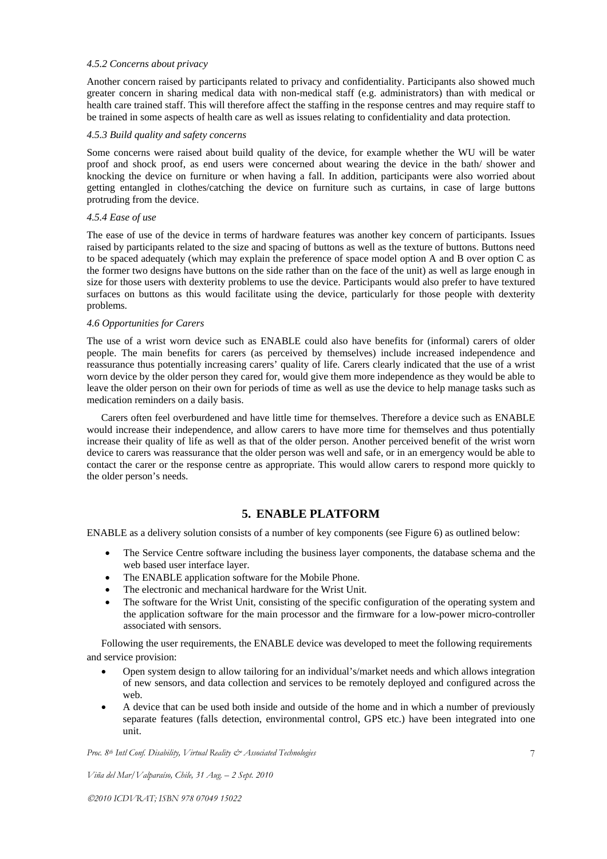### *4.5.2 Concerns about privacy*

Another concern raised by participants related to privacy and confidentiality. Participants also showed much greater concern in sharing medical data with non-medical staff (e.g. administrators) than with medical or health care trained staff. This will therefore affect the staffing in the response centres and may require staff to be trained in some aspects of health care as well as issues relating to confidentiality and data protection.

### *4.5.3 Build quality and safety concerns*

Some concerns were raised about build quality of the device, for example whether the WU will be water proof and shock proof, as end users were concerned about wearing the device in the bath/ shower and knocking the device on furniture or when having a fall. In addition, participants were also worried about getting entangled in clothes/catching the device on furniture such as curtains, in case of large buttons protruding from the device.

### *4.5.4 Ease of use*

The ease of use of the device in terms of hardware features was another key concern of participants. Issues raised by participants related to the size and spacing of buttons as well as the texture of buttons. Buttons need to be spaced adequately (which may explain the preference of space model option A and B over option C as the former two designs have buttons on the side rather than on the face of the unit) as well as large enough in size for those users with dexterity problems to use the device. Participants would also prefer to have textured surfaces on buttons as this would facilitate using the device, particularly for those people with dexterity problems.

## *4.6 Opportunities for Carers*

The use of a wrist worn device such as ENABLE could also have benefits for (informal) carers of older people. The main benefits for carers (as perceived by themselves) include increased independence and reassurance thus potentially increasing carers' quality of life. Carers clearly indicated that the use of a wrist worn device by the older person they cared for, would give them more independence as they would be able to leave the older person on their own for periods of time as well as use the device to help manage tasks such as medication reminders on a daily basis.

Carers often feel overburdened and have little time for themselves. Therefore a device such as ENABLE would increase their independence, and allow carers to have more time for themselves and thus potentially increase their quality of life as well as that of the older person. Another perceived benefit of the wrist worn device to carers was reassurance that the older person was well and safe, or in an emergency would be able to contact the carer or the response centre as appropriate. This would allow carers to respond more quickly to the older person's needs.

# **5. ENABLE PLATFORM**

ENABLE as a delivery solution consists of a number of key components (see Figure 6) as outlined below:

- The Service Centre software including the business layer components, the database schema and the web based user interface layer.
- The ENABLE application software for the Mobile Phone.
- The electronic and mechanical hardware for the Wrist Unit.
- The software for the Wrist Unit, consisting of the specific configuration of the operating system and the application software for the main processor and the firmware for a low-power micro-controller associated with sensors.

Following the user requirements, the ENABLE device was developed to meet the following requirements and service provision:

- Open system design to allow tailoring for an individual's/market needs and which allows integration of new sensors, and data collection and services to be remotely deployed and configured across the web.
- A device that can be used both inside and outside of the home and in which a number of previously separate features (falls detection, environmental control, GPS etc.) have been integrated into one unit.

*Proc. 8th Intl Conf. Disability, Virtual Reality & Associated Technologies*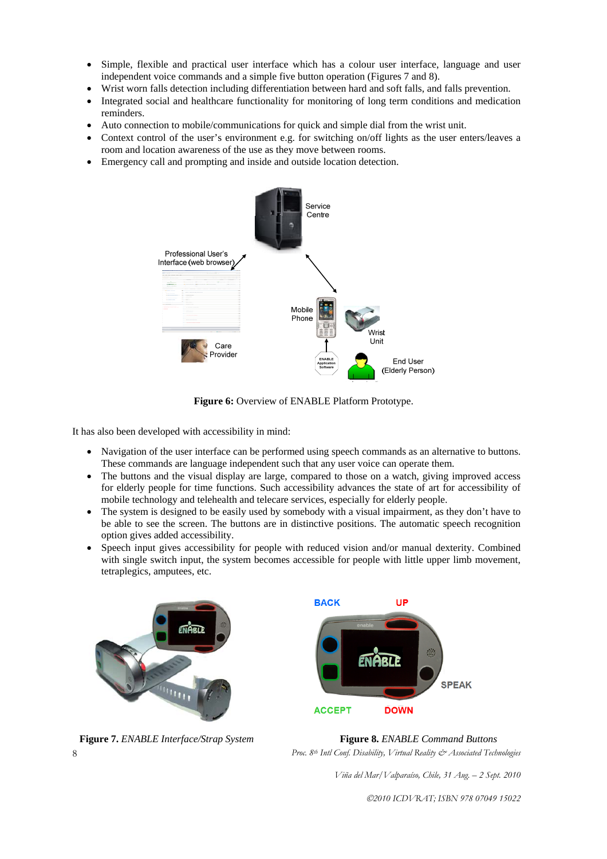- Simple, flexible and practical user interface which has a colour user interface, language and user independent voice commands and a simple five button operation (Figures 7 and 8).
- Wrist worn falls detection including differentiation between hard and soft falls, and falls prevention.
- Integrated social and healthcare functionality for monitoring of long term conditions and medication reminders.
- Auto connection to mobile/communications for quick and simple dial from the wrist unit.
- Context control of the user's environment e.g. for switching on/off lights as the user enters/leaves a room and location awareness of the use as they move between rooms.
- Emergency call and prompting and inside and outside location detection.



**Figure 6:** Overview of ENABLE Platform Prototype.

It has also been developed with accessibility in mind:

- Navigation of the user interface can be performed using speech commands as an alternative to buttons. These commands are language independent such that any user voice can operate them.
- The buttons and the visual display are large, compared to those on a watch, giving improved access for elderly people for time functions. Such accessibility advances the state of art for accessibility of mobile technology and telehealth and telecare services, especially for elderly people.
- The system is designed to be easily used by somebody with a visual impairment, as they don't have to be able to see the screen. The buttons are in distinctive positions. The automatic speech recognition option gives added accessibility.
- Speech input gives accessibility for people with reduced vision and/or manual dexterity. Combined with single switch input, the system becomes accessible for people with little upper limb movement, tetraplegics, amputees, etc.





*Proc. 8th Intl Conf. Disability, Virtual Reality & Associated Technologies*   **Figure 7.** *ENABLE Interface/Strap System* **Figure 8.** *ENABLE Command Buttons*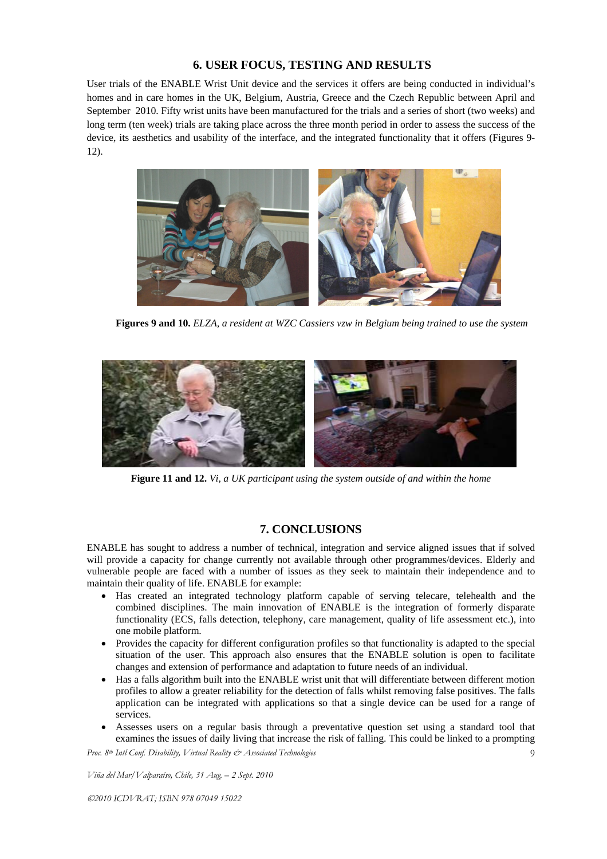## **6. USER FOCUS, TESTING AND RESULTS**

User trials of the ENABLE Wrist Unit device and the services it offers are being conducted in individual's homes and in care homes in the UK, Belgium, Austria, Greece and the Czech Republic between April and September 2010. Fifty wrist units have been manufactured for the trials and a series of short (two weeks) and long term (ten week) trials are taking place across the three month period in order to assess the success of the device, its aesthetics and usability of the interface, and the integrated functionality that it offers (Figures 9- 12).



**Figures 9 and 10.** *ELZA, a resident at WZC Cassiers vzw in Belgium being trained to use the system*



**Figure 11 and 12.** *Vi, a UK participant using the system outside of and within the home*

# **7. CONCLUSIONS**

ENABLE has sought to address a number of technical, integration and service aligned issues that if solved will provide a capacity for change currently not available through other programmes/devices. Elderly and vulnerable people are faced with a number of issues as they seek to maintain their independence and to maintain their quality of life. ENABLE for example:

- Has created an integrated technology platform capable of serving telecare, telehealth and the combined disciplines. The main innovation of ENABLE is the integration of formerly disparate functionality (ECS, falls detection, telephony, care management, quality of life assessment etc.), into one mobile platform.
- Provides the capacity for different configuration profiles so that functionality is adapted to the special situation of the user. This approach also ensures that the ENABLE solution is open to facilitate changes and extension of performance and adaptation to future needs of an individual.
- Has a falls algorithm built into the ENABLE wrist unit that will differentiate between different motion profiles to allow a greater reliability for the detection of falls whilst removing false positives. The falls application can be integrated with applications so that a single device can be used for a range of services.
- Assesses users on a regular basis through a preventative question set using a standard tool that examines the issues of daily living that increase the risk of falling. This could be linked to a prompting

*Proc. 8th Intl Conf. Disability, Virtual Reality & Associated Technologies* 

*Viña del Mar/Valparaíso, Chile, 31 Aug. – 2 Sept. 2010*